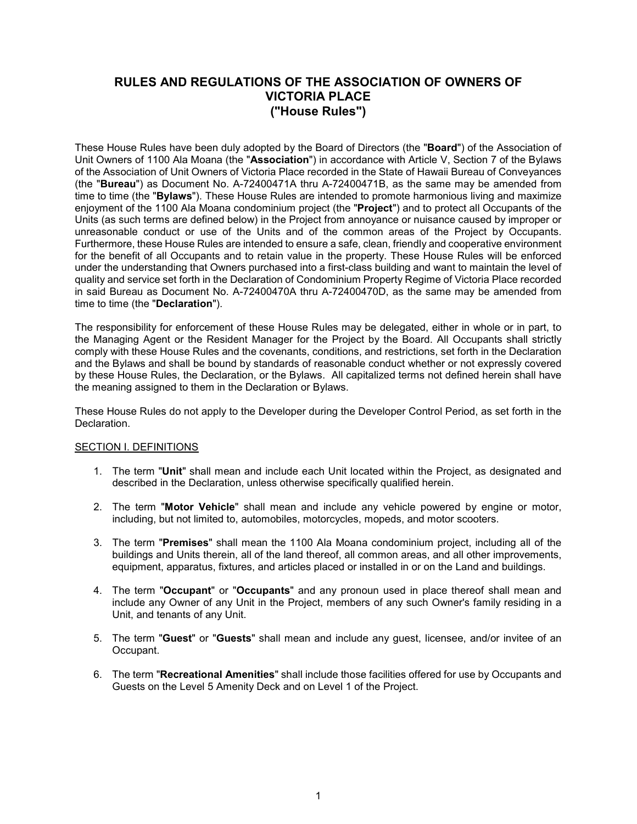# **RULES AND REGULATIONS OF THE ASSOCIATION OF OWNERS OF VICTORIA PLACE ("House Rules")**

These House Rules have been duly adopted by the Board of Directors (the "**Board**") of the Association of Unit Owners of 1100 Ala Moana (the "**Association**") in accordance with Article V, Section 7 of the Bylaws of the Association of Unit Owners of Victoria Place recorded in the State of Hawaii Bureau of Conveyances (the "**Bureau**") as Document No. A-72400471A thru A-72400471B, as the same may be amended from time to time (the "**Bylaws**"). These House Rules are intended to promote harmonious living and maximize enjoyment of the 1100 Ala Moana condominium project (the "**Project**") and to protect all Occupants of the Units (as such terms are defined below) in the Project from annoyance or nuisance caused by improper or unreasonable conduct or use of the Units and of the common areas of the Project by Occupants. Furthermore, these House Rules are intended to ensure a safe, clean, friendly and cooperative environment for the benefit of all Occupants and to retain value in the property. These House Rules will be enforced under the understanding that Owners purchased into a first-class building and want to maintain the level of quality and service set forth in the Declaration of Condominium Property Regime of Victoria Place recorded in said Bureau as Document No. A-72400470A thru A-72400470D, as the same may be amended from time to time (the "**Declaration**").

The responsibility for enforcement of these House Rules may be delegated, either in whole or in part, to the Managing Agent or the Resident Manager for the Project by the Board. All Occupants shall strictly comply with these House Rules and the covenants, conditions, and restrictions, set forth in the Declaration and the Bylaws and shall be bound by standards of reasonable conduct whether or not expressly covered by these House Rules, the Declaration, or the Bylaws. All capitalized terms not defined herein shall have the meaning assigned to them in the Declaration or Bylaws.

These House Rules do not apply to the Developer during the Developer Control Period, as set forth in the Declaration.

#### SECTION I. DEFINITIONS

- 1. The term "**Unit**" shall mean and include each Unit located within the Project, as designated and described in the Declaration, unless otherwise specifically qualified herein.
- 2. The term "**Motor Vehicle**" shall mean and include any vehicle powered by engine or motor, including, but not limited to, automobiles, motorcycles, mopeds, and motor scooters.
- 3. The term "**Premises**" shall mean the 1100 Ala Moana condominium project, including all of the buildings and Units therein, all of the land thereof, all common areas, and all other improvements, equipment, apparatus, fixtures, and articles placed or installed in or on the Land and buildings.
- 4. The term "**Occupant**" or "**Occupants**" and any pronoun used in place thereof shall mean and include any Owner of any Unit in the Project, members of any such Owner's family residing in a Unit, and tenants of any Unit.
- 5. The term "**Guest**" or "**Guests**" shall mean and include any guest, licensee, and/or invitee of an Occupant.
- 6. The term "**Recreational Amenities**" shall include those facilities offered for use by Occupants and Guests on the Level 5 Amenity Deck and on Level 1 of the Project.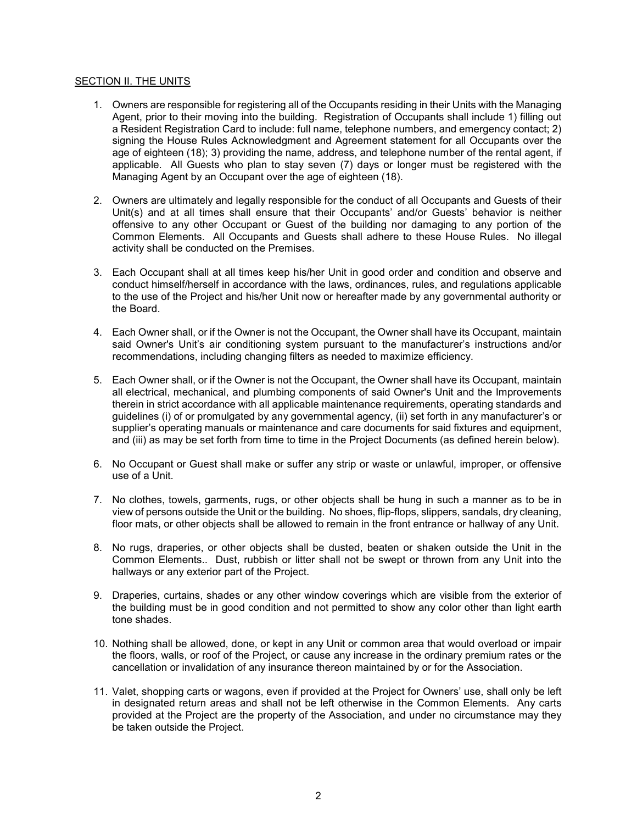#### SECTION II. THE UNITS

- 1. Owners are responsible for registering all of the Occupants residing in their Units with the Managing Agent, prior to their moving into the building. Registration of Occupants shall include 1) filling out a Resident Registration Card to include: full name, telephone numbers, and emergency contact; 2) signing the House Rules Acknowledgment and Agreement statement for all Occupants over the age of eighteen (18); 3) providing the name, address, and telephone number of the rental agent, if applicable. All Guests who plan to stay seven (7) days or longer must be registered with the Managing Agent by an Occupant over the age of eighteen (18).
- 2. Owners are ultimately and legally responsible for the conduct of all Occupants and Guests of their Unit(s) and at all times shall ensure that their Occupants' and/or Guests' behavior is neither offensive to any other Occupant or Guest of the building nor damaging to any portion of the Common Elements. All Occupants and Guests shall adhere to these House Rules. No illegal activity shall be conducted on the Premises.
- 3. Each Occupant shall at all times keep his/her Unit in good order and condition and observe and conduct himself/herself in accordance with the laws, ordinances, rules, and regulations applicable to the use of the Project and his/her Unit now or hereafter made by any governmental authority or the Board.
- 4. Each Owner shall, or if the Owner is not the Occupant, the Owner shall have its Occupant, maintain said Owner's Unit's air conditioning system pursuant to the manufacturer's instructions and/or recommendations, including changing filters as needed to maximize efficiency.
- 5. Each Owner shall, or if the Owner is not the Occupant, the Owner shall have its Occupant, maintain all electrical, mechanical, and plumbing components of said Owner's Unit and the Improvements therein in strict accordance with all applicable maintenance requirements, operating standards and guidelines (i) of or promulgated by any governmental agency, (ii) set forth in any manufacturer's or supplier's operating manuals or maintenance and care documents for said fixtures and equipment, and (iii) as may be set forth from time to time in the Project Documents (as defined herein below).
- 6. No Occupant or Guest shall make or suffer any strip or waste or unlawful, improper, or offensive use of a Unit.
- 7. No clothes, towels, garments, rugs, or other objects shall be hung in such a manner as to be in view of persons outside the Unit or the building. No shoes, flip-flops, slippers, sandals, dry cleaning, floor mats, or other objects shall be allowed to remain in the front entrance or hallway of any Unit.
- 8. No rugs, draperies, or other objects shall be dusted, beaten or shaken outside the Unit in the Common Elements.. Dust, rubbish or litter shall not be swept or thrown from any Unit into the hallways or any exterior part of the Project.
- 9. Draperies, curtains, shades or any other window coverings which are visible from the exterior of the building must be in good condition and not permitted to show any color other than light earth tone shades.
- 10. Nothing shall be allowed, done, or kept in any Unit or common area that would overload or impair the floors, walls, or roof of the Project, or cause any increase in the ordinary premium rates or the cancellation or invalidation of any insurance thereon maintained by or for the Association.
- 11. Valet, shopping carts or wagons, even if provided at the Project for Owners' use, shall only be left in designated return areas and shall not be left otherwise in the Common Elements. Any carts provided at the Project are the property of the Association, and under no circumstance may they be taken outside the Project.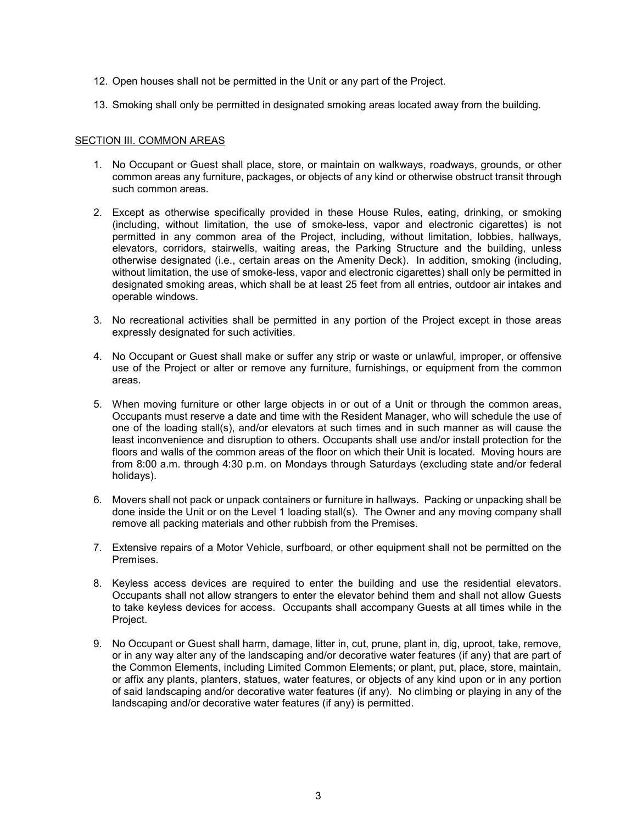- 12. Open houses shall not be permitted in the Unit or any part of the Project.
- 13. Smoking shall only be permitted in designated smoking areas located away from the building.

## SECTION III. COMMON AREAS

- 1. No Occupant or Guest shall place, store, or maintain on walkways, roadways, grounds, or other common areas any furniture, packages, or objects of any kind or otherwise obstruct transit through such common areas.
- 2. Except as otherwise specifically provided in these House Rules, eating, drinking, or smoking (including, without limitation, the use of smoke-less, vapor and electronic cigarettes) is not permitted in any common area of the Project, including, without limitation, lobbies, hallways, elevators, corridors, stairwells, waiting areas, the Parking Structure and the building, unless otherwise designated (i.e., certain areas on the Amenity Deck). In addition, smoking (including, without limitation, the use of smoke-less, vapor and electronic cigarettes) shall only be permitted in designated smoking areas, which shall be at least 25 feet from all entries, outdoor air intakes and operable windows.
- 3. No recreational activities shall be permitted in any portion of the Project except in those areas expressly designated for such activities.
- 4. No Occupant or Guest shall make or suffer any strip or waste or unlawful, improper, or offensive use of the Project or alter or remove any furniture, furnishings, or equipment from the common areas.
- 5. When moving furniture or other large objects in or out of a Unit or through the common areas, Occupants must reserve a date and time with the Resident Manager, who will schedule the use of one of the loading stall(s), and/or elevators at such times and in such manner as will cause the least inconvenience and disruption to others. Occupants shall use and/or install protection for the floors and walls of the common areas of the floor on which their Unit is located. Moving hours are from 8:00 a.m. through 4:30 p.m. on Mondays through Saturdays (excluding state and/or federal holidays).
- 6. Movers shall not pack or unpack containers or furniture in hallways. Packing or unpacking shall be done inside the Unit or on the Level 1 loading stall(s). The Owner and any moving company shall remove all packing materials and other rubbish from the Premises.
- 7. Extensive repairs of a Motor Vehicle, surfboard, or other equipment shall not be permitted on the Premises.
- 8. Keyless access devices are required to enter the building and use the residential elevators. Occupants shall not allow strangers to enter the elevator behind them and shall not allow Guests to take keyless devices for access. Occupants shall accompany Guests at all times while in the Project.
- 9. No Occupant or Guest shall harm, damage, litter in, cut, prune, plant in, dig, uproot, take, remove, or in any way alter any of the landscaping and/or decorative water features (if any) that are part of the Common Elements, including Limited Common Elements; or plant, put, place, store, maintain, or affix any plants, planters, statues, water features, or objects of any kind upon or in any portion of said landscaping and/or decorative water features (if any). No climbing or playing in any of the landscaping and/or decorative water features (if any) is permitted.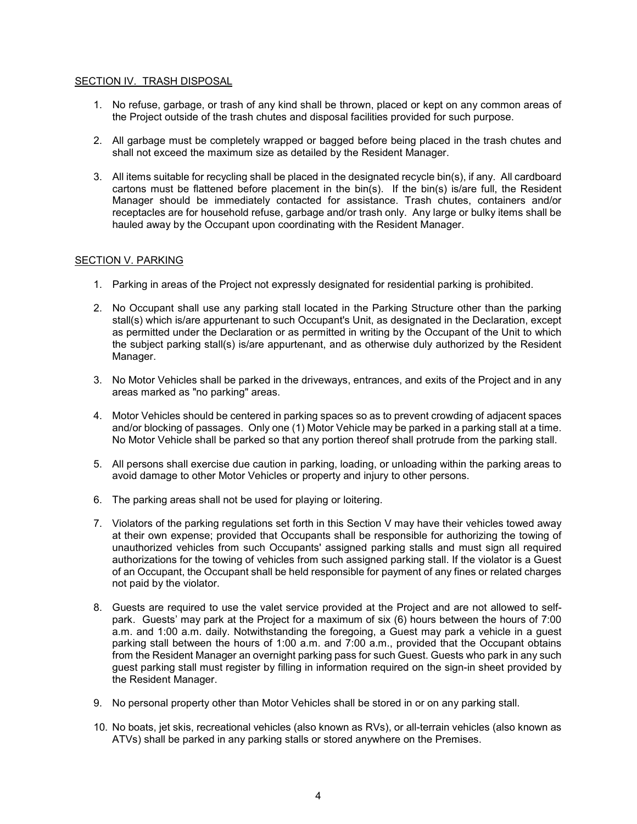## SECTION IV. TRASH DISPOSAL

- 1. No refuse, garbage, or trash of any kind shall be thrown, placed or kept on any common areas of the Project outside of the trash chutes and disposal facilities provided for such purpose.
- 2. All garbage must be completely wrapped or bagged before being placed in the trash chutes and shall not exceed the maximum size as detailed by the Resident Manager.
- 3. All items suitable for recycling shall be placed in the designated recycle bin(s), if any. All cardboard cartons must be flattened before placement in the bin(s). If the bin(s) is/are full, the Resident Manager should be immediately contacted for assistance. Trash chutes, containers and/or receptacles are for household refuse, garbage and/or trash only. Any large or bulky items shall be hauled away by the Occupant upon coordinating with the Resident Manager.

## SECTION V. PARKING

- 1. Parking in areas of the Project not expressly designated for residential parking is prohibited.
- 2. No Occupant shall use any parking stall located in the Parking Structure other than the parking stall(s) which is/are appurtenant to such Occupant's Unit, as designated in the Declaration, except as permitted under the Declaration or as permitted in writing by the Occupant of the Unit to which the subject parking stall(s) is/are appurtenant, and as otherwise duly authorized by the Resident Manager.
- 3. No Motor Vehicles shall be parked in the driveways, entrances, and exits of the Project and in any areas marked as "no parking" areas.
- 4. Motor Vehicles should be centered in parking spaces so as to prevent crowding of adjacent spaces and/or blocking of passages. Only one (1) Motor Vehicle may be parked in a parking stall at a time. No Motor Vehicle shall be parked so that any portion thereof shall protrude from the parking stall.
- 5. All persons shall exercise due caution in parking, loading, or unloading within the parking areas to avoid damage to other Motor Vehicles or property and injury to other persons.
- 6. The parking areas shall not be used for playing or loitering.
- 7. Violators of the parking regulations set forth in this Section V may have their vehicles towed away at their own expense; provided that Occupants shall be responsible for authorizing the towing of unauthorized vehicles from such Occupants' assigned parking stalls and must sign all required authorizations for the towing of vehicles from such assigned parking stall. If the violator is a Guest of an Occupant, the Occupant shall be held responsible for payment of any fines or related charges not paid by the violator.
- 8. Guests are required to use the valet service provided at the Project and are not allowed to selfpark. Guests' may park at the Project for a maximum of six (6) hours between the hours of 7:00 a.m. and 1:00 a.m. daily. Notwithstanding the foregoing, a Guest may park a vehicle in a guest parking stall between the hours of 1:00 a.m. and 7:00 a.m., provided that the Occupant obtains from the Resident Manager an overnight parking pass for such Guest. Guests who park in any such guest parking stall must register by filling in information required on the sign-in sheet provided by the Resident Manager.
- 9. No personal property other than Motor Vehicles shall be stored in or on any parking stall.
- 10. No boats, jet skis, recreational vehicles (also known as RVs), or all-terrain vehicles (also known as ATVs) shall be parked in any parking stalls or stored anywhere on the Premises.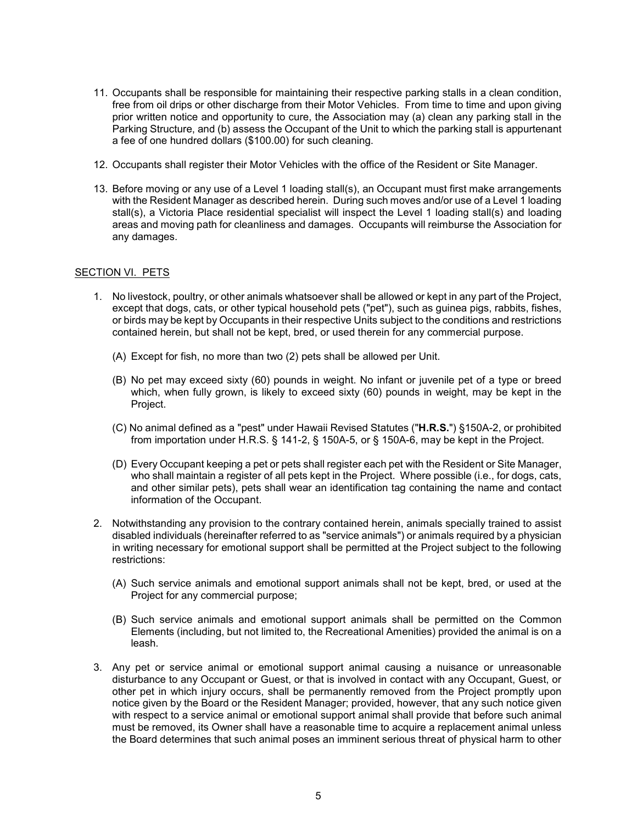- 11. Occupants shall be responsible for maintaining their respective parking stalls in a clean condition, free from oil drips or other discharge from their Motor Vehicles. From time to time and upon giving prior written notice and opportunity to cure, the Association may (a) clean any parking stall in the Parking Structure, and (b) assess the Occupant of the Unit to which the parking stall is appurtenant a fee of one hundred dollars (\$100.00) for such cleaning.
- 12. Occupants shall register their Motor Vehicles with the office of the Resident or Site Manager.
- 13. Before moving or any use of a Level 1 loading stall(s), an Occupant must first make arrangements with the Resident Manager as described herein. During such moves and/or use of a Level 1 loading stall(s), a Victoria Place residential specialist will inspect the Level 1 loading stall(s) and loading areas and moving path for cleanliness and damages. Occupants will reimburse the Association for any damages.

#### SECTION VI. PETS

- 1. No livestock, poultry, or other animals whatsoever shall be allowed or kept in any part of the Project, except that dogs, cats, or other typical household pets ("pet"), such as guinea pigs, rabbits, fishes, or birds may be kept by Occupants in their respective Units subject to the conditions and restrictions contained herein, but shall not be kept, bred, or used therein for any commercial purpose.
	- (A) Except for fish, no more than two (2) pets shall be allowed per Unit.
	- (B) No pet may exceed sixty (60) pounds in weight. No infant or juvenile pet of a type or breed which, when fully grown, is likely to exceed sixty (60) pounds in weight, may be kept in the Project.
	- (C) No animal defined as a "pest" under Hawaii Revised Statutes ("**H.R.S.**") §150A-2, or prohibited from importation under H.R.S. § 141-2, § 150A-5, or § 150A-6, may be kept in the Project.
	- (D) Every Occupant keeping a pet or pets shall register each pet with the Resident or Site Manager, who shall maintain a register of all pets kept in the Project. Where possible (i.e., for dogs, cats, and other similar pets), pets shall wear an identification tag containing the name and contact information of the Occupant.
- 2. Notwithstanding any provision to the contrary contained herein, animals specially trained to assist disabled individuals (hereinafter referred to as "service animals") or animals required by a physician in writing necessary for emotional support shall be permitted at the Project subject to the following restrictions:
	- (A) Such service animals and emotional support animals shall not be kept, bred, or used at the Project for any commercial purpose;
	- (B) Such service animals and emotional support animals shall be permitted on the Common Elements (including, but not limited to, the Recreational Amenities) provided the animal is on a leash.
- 3. Any pet or service animal or emotional support animal causing a nuisance or unreasonable disturbance to any Occupant or Guest, or that is involved in contact with any Occupant, Guest, or other pet in which injury occurs, shall be permanently removed from the Project promptly upon notice given by the Board or the Resident Manager; provided, however, that any such notice given with respect to a service animal or emotional support animal shall provide that before such animal must be removed, its Owner shall have a reasonable time to acquire a replacement animal unless the Board determines that such animal poses an imminent serious threat of physical harm to other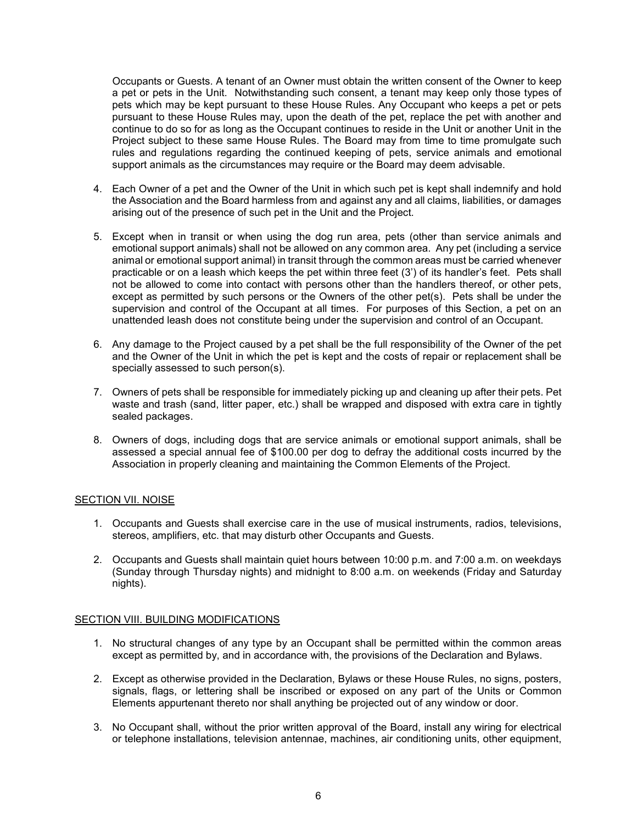Occupants or Guests. A tenant of an Owner must obtain the written consent of the Owner to keep a pet or pets in the Unit. Notwithstanding such consent, a tenant may keep only those types of pets which may be kept pursuant to these House Rules. Any Occupant who keeps a pet or pets pursuant to these House Rules may, upon the death of the pet, replace the pet with another and continue to do so for as long as the Occupant continues to reside in the Unit or another Unit in the Project subject to these same House Rules. The Board may from time to time promulgate such rules and regulations regarding the continued keeping of pets, service animals and emotional support animals as the circumstances may require or the Board may deem advisable.

- 4. Each Owner of a pet and the Owner of the Unit in which such pet is kept shall indemnify and hold the Association and the Board harmless from and against any and all claims, liabilities, or damages arising out of the presence of such pet in the Unit and the Project.
- 5. Except when in transit or when using the dog run area, pets (other than service animals and emotional support animals) shall not be allowed on any common area. Any pet (including a service animal or emotional support animal) in transit through the common areas must be carried whenever practicable or on a leash which keeps the pet within three feet (3') of its handler's feet. Pets shall not be allowed to come into contact with persons other than the handlers thereof, or other pets, except as permitted by such persons or the Owners of the other pet(s). Pets shall be under the supervision and control of the Occupant at all times. For purposes of this Section, a pet on an unattended leash does not constitute being under the supervision and control of an Occupant.
- 6. Any damage to the Project caused by a pet shall be the full responsibility of the Owner of the pet and the Owner of the Unit in which the pet is kept and the costs of repair or replacement shall be specially assessed to such person(s).
- 7. Owners of pets shall be responsible for immediately picking up and cleaning up after their pets. Pet waste and trash (sand, litter paper, etc.) shall be wrapped and disposed with extra care in tightly sealed packages.
- 8. Owners of dogs, including dogs that are service animals or emotional support animals, shall be assessed a special annual fee of \$100.00 per dog to defray the additional costs incurred by the Association in properly cleaning and maintaining the Common Elements of the Project.

#### SECTION VII. NOISE

- 1. Occupants and Guests shall exercise care in the use of musical instruments, radios, televisions, stereos, amplifiers, etc. that may disturb other Occupants and Guests.
- 2. Occupants and Guests shall maintain quiet hours between 10:00 p.m. and 7:00 a.m. on weekdays (Sunday through Thursday nights) and midnight to 8:00 a.m. on weekends (Friday and Saturday nights).

#### SECTION VIII. BUILDING MODIFICATIONS

- 1. No structural changes of any type by an Occupant shall be permitted within the common areas except as permitted by, and in accordance with, the provisions of the Declaration and Bylaws.
- 2. Except as otherwise provided in the Declaration, Bylaws or these House Rules, no signs, posters, signals, flags, or lettering shall be inscribed or exposed on any part of the Units or Common Elements appurtenant thereto nor shall anything be projected out of any window or door.
- 3. No Occupant shall, without the prior written approval of the Board, install any wiring for electrical or telephone installations, television antennae, machines, air conditioning units, other equipment,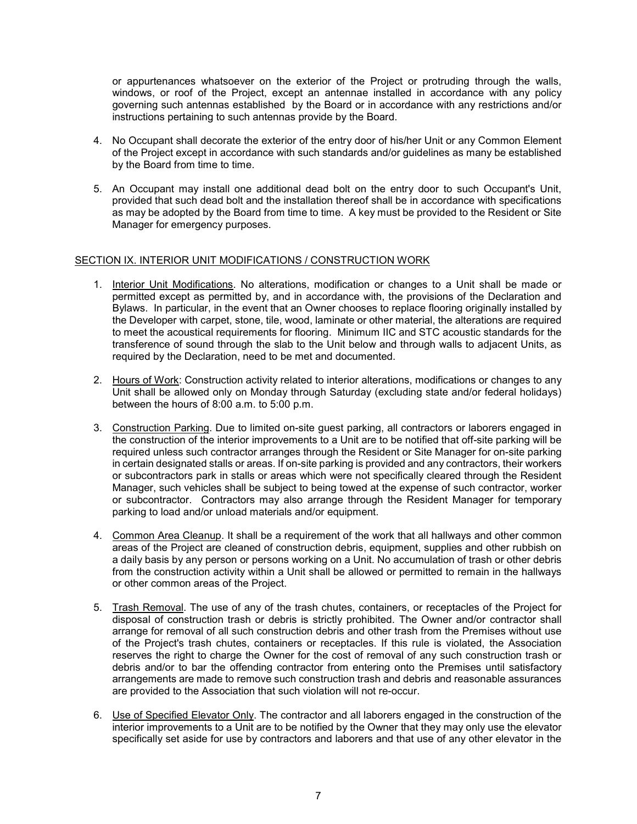or appurtenances whatsoever on the exterior of the Project or protruding through the walls, windows, or roof of the Project, except an antennae installed in accordance with any policy governing such antennas established by the Board or in accordance with any restrictions and/or instructions pertaining to such antennas provide by the Board.

- 4. No Occupant shall decorate the exterior of the entry door of his/her Unit or any Common Element of the Project except in accordance with such standards and/or guidelines as many be established by the Board from time to time.
- 5. An Occupant may install one additional dead bolt on the entry door to such Occupant's Unit, provided that such dead bolt and the installation thereof shall be in accordance with specifications as may be adopted by the Board from time to time. A key must be provided to the Resident or Site Manager for emergency purposes.

## SECTION IX. INTERIOR UNIT MODIFICATIONS / CONSTRUCTION WORK

- 1. Interior Unit Modifications. No alterations, modification or changes to a Unit shall be made or permitted except as permitted by, and in accordance with, the provisions of the Declaration and Bylaws. In particular, in the event that an Owner chooses to replace flooring originally installed by the Developer with carpet, stone, tile, wood, laminate or other material, the alterations are required to meet the acoustical requirements for flooring. Minimum IIC and STC acoustic standards for the transference of sound through the slab to the Unit below and through walls to adjacent Units, as required by the Declaration, need to be met and documented.
- 2. Hours of Work: Construction activity related to interior alterations, modifications or changes to any Unit shall be allowed only on Monday through Saturday (excluding state and/or federal holidays) between the hours of 8:00 a.m. to 5:00 p.m.
- 3. Construction Parking. Due to limited on-site guest parking, all contractors or laborers engaged in the construction of the interior improvements to a Unit are to be notified that off-site parking will be required unless such contractor arranges through the Resident or Site Manager for on-site parking in certain designated stalls or areas. If on-site parking is provided and any contractors, their workers or subcontractors park in stalls or areas which were not specifically cleared through the Resident Manager, such vehicles shall be subject to being towed at the expense of such contractor, worker or subcontractor. Contractors may also arrange through the Resident Manager for temporary parking to load and/or unload materials and/or equipment.
- 4. Common Area Cleanup. It shall be a requirement of the work that all hallways and other common areas of the Project are cleaned of construction debris, equipment, supplies and other rubbish on a daily basis by any person or persons working on a Unit. No accumulation of trash or other debris from the construction activity within a Unit shall be allowed or permitted to remain in the hallways or other common areas of the Project.
- 5. Trash Removal. The use of any of the trash chutes, containers, or receptacles of the Project for disposal of construction trash or debris is strictly prohibited. The Owner and/or contractor shall arrange for removal of all such construction debris and other trash from the Premises without use of the Project's trash chutes, containers or receptacles. If this rule is violated, the Association reserves the right to charge the Owner for the cost of removal of any such construction trash or debris and/or to bar the offending contractor from entering onto the Premises until satisfactory arrangements are made to remove such construction trash and debris and reasonable assurances are provided to the Association that such violation will not re-occur.
- 6. Use of Specified Elevator Only. The contractor and all laborers engaged in the construction of the interior improvements to a Unit are to be notified by the Owner that they may only use the elevator specifically set aside for use by contractors and laborers and that use of any other elevator in the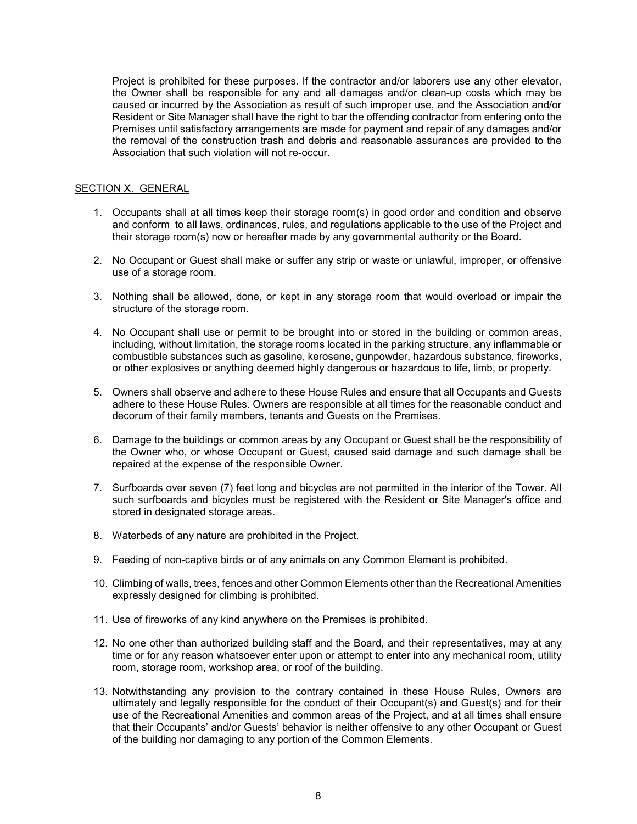Project is prohibited for these purposes. If the contractor and/or laborers use any other elevator, the Owner shall be responsible for any and all damages and/or clean-up costs which may be caused or incurred by the Association as result of such improper use, and the Association and/or Resident or Site Manager shall have the right to bar the offending contractor from entering onto the Premises until satisfactory arrangements are made for payment and repair of any damages and/or the removal of the construction trash and debris and reasonable assurances are provided to the Association that such violation will not re-occur.

# SECTION X. GENERAL

- 1. Occupants shall at all times keep their storage room(s) in good order and condition and observe and conform to aIl laws, ordinances, rules, and regulations applicable to the use of the Project and their storage room(s) now or hereafter made by any governmental authority or the Board.
- 2. No Occupant or Guest shall make or suffer any strip or waste or unlawful, improper, or offensive use of a storage room.
- 3. Nothing shall be allowed, done, or kept in any storage room that would overload or impair the structure of the storage room.
- 4. No Occupant shall use or permit to be brought into or stored in the building or common areas, including, without limitation, the storage rooms located in the parking structure, any inflammable or combustible substances such as gasoline, kerosene, gunpowder, hazardous substance, fireworks, or other explosives or anything deemed highly dangerous or hazardous to life, limb, or property.
- 5. Owners shall observe and adhere to these House Rules and ensure that all Occupants and Guests adhere to these House Rules. Owners are responsible at all times for the reasonable conduct and decorum of their family members, tenants and Guests on the Premises.
- 6. Damage to the buildings or common areas by any Occupant or Guest shall be the responsibility of the Owner who, or whose Occupant or Guest, caused said damage and such damage shall be repaired at the expense of the responsible Owner.
- 7. Surfboards over seven (7) feet long and bicycles are not permitted in the interior of the Tower. All such surfboards and bicycles must be registered with the Resident or Site Manager's office and stored in designated storage areas.
- 8. Waterbeds of any nature are prohibited in the Project.
- 9. Feeding of non-captive birds or of any animals on any Common Element is prohibited.
- 10. Climbing of walls, trees, fences and other Common Elements other than the Recreational Amenities expressly designed for climbing is prohibited.
- 11. Use of fireworks of any kind anywhere on the Premises is prohibited.
- 12. No one other than authorized building staff and the Board, and their representatives, may at any time or for any reason whatsoever enter upon or attempt to enter into any mechanical room, utility room, storage room, workshop area, or roof of the building.
- 13. Notwithstanding any provision to the contrary contained in these House Rules, Owners are ultimately and legally responsible for the conduct of their Occupant(s) and Guest(s) and for their use of the Recreational Amenities and common areas of the Project, and at all times shall ensure that their Occupants' and/or Guests' behavior is neither offensive to any other Occupant or Guest of the building nor damaging to any portion of the Common Elements.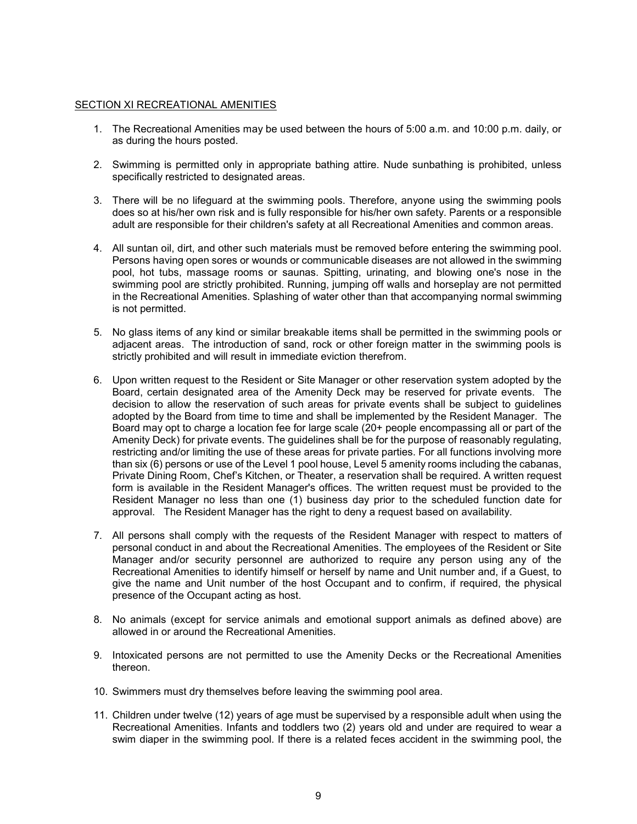#### SECTION XI RECREATIONAL AMENITIES

- 1. The Recreational Amenities may be used between the hours of 5:00 a.m. and 10:00 p.m. daily, or as during the hours posted.
- 2. Swimming is permitted only in appropriate bathing attire. Nude sunbathing is prohibited, unless specifically restricted to designated areas.
- 3. There will be no lifeguard at the swimming pools. Therefore, anyone using the swimming pools does so at his/her own risk and is fully responsible for his/her own safety. Parents or a responsible adult are responsible for their children's safety at all Recreational Amenities and common areas.
- 4. All suntan oil, dirt, and other such materials must be removed before entering the swimming pool. Persons having open sores or wounds or communicable diseases are not allowed in the swimming pool, hot tubs, massage rooms or saunas. Spitting, urinating, and blowing one's nose in the swimming pool are strictly prohibited. Running, jumping off walls and horseplay are not permitted in the Recreational Amenities. Splashing of water other than that accompanying normal swimming is not permitted.
- 5. No glass items of any kind or similar breakable items shall be permitted in the swimming pools or adjacent areas. The introduction of sand, rock or other foreign matter in the swimming pools is strictly prohibited and will result in immediate eviction therefrom.
- 6. Upon written request to the Resident or Site Manager or other reservation system adopted by the Board, certain designated area of the Amenity Deck may be reserved for private events. The decision to allow the reservation of such areas for private events shall be subject to guidelines adopted by the Board from time to time and shall be implemented by the Resident Manager. The Board may opt to charge a location fee for large scale (20+ people encompassing all or part of the Amenity Deck) for private events. The guidelines shall be for the purpose of reasonably regulating, restricting and/or limiting the use of these areas for private parties. For all functions involving more than six (6) persons or use of the Level 1 pool house, Level 5 amenity rooms including the cabanas, Private Dining Room, Chef's Kitchen, or Theater, a reservation shall be required. A written request form is available in the Resident Manager's offices. The written request must be provided to the Resident Manager no less than one (1) business day prior to the scheduled function date for approval. The Resident Manager has the right to deny a request based on availability.
- 7. All persons shall comply with the requests of the Resident Manager with respect to matters of personal conduct in and about the Recreational Amenities. The employees of the Resident or Site Manager and/or security personnel are authorized to require any person using any of the Recreational Amenities to identify himself or herself by name and Unit number and, if a Guest, to give the name and Unit number of the host Occupant and to confirm, if required, the physical presence of the Occupant acting as host.
- 8. No animals (except for service animals and emotional support animals as defined above) are allowed in or around the Recreational Amenities.
- 9. Intoxicated persons are not permitted to use the Amenity Decks or the Recreational Amenities thereon.
- 10. Swimmers must dry themselves before leaving the swimming pool area.
- 11. Children under twelve (12) years of age must be supervised by a responsible adult when using the Recreational Amenities. Infants and toddlers two (2) years old and under are required to wear a swim diaper in the swimming pool. If there is a related feces accident in the swimming pool, the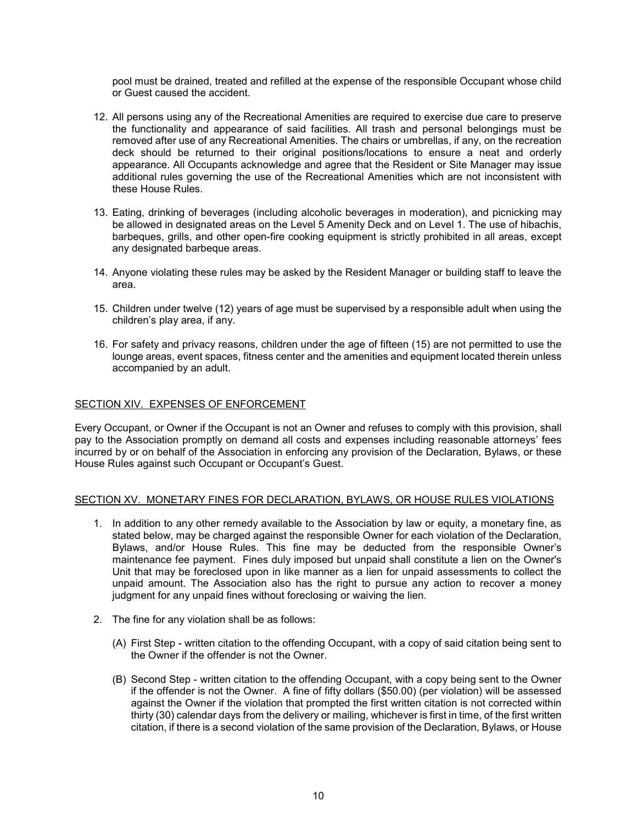pool must be drained, treated and refilled at the expense of the responsible Occupant whose child or Guest caused the accident.

- 12. All persons using any of the Recreational Amenities are required to exercise due care to preserve the functionality and appearance of said facilities. All trash and personal belongings must be removed after use of any Recreational Amenities. The chairs or umbrellas, if any, on the recreation deck should be returned to their original positions/locations to ensure a neat and orderly appearance. All Occupants acknowledge and agree that the Resident or Site Manager may issue additional rules governing the use of the Recreational Amenities which are not inconsistent with these House Rules.
- 13. Eating, drinking of beverages (including alcoholic beverages in moderation), and picnicking may be allowed in designated areas on the Level 5 Amenity Deck and on Level 1. The use of hibachis, barbeques, grills, and other open-fire cooking equipment is strictly prohibited in all areas, except any designated barbeque areas.
- 14. Anyone violating these rules may be asked by the Resident Manager or building staff to leave the area.
- 15. Children under twelve (12) years of age must be supervised by a responsible adult when using the children's play area, if any.
- 16. For safety and privacy reasons, children under the age of fifteen (15) are not permitted to use the lounge areas, event spaces, fitness center and the amenities and equipment located therein unless accompanied by an adult.

## SECTION XIV. EXPENSES OF ENFORCEMENT

Every Occupant, or Owner if the Occupant is not an Owner and refuses to comply with this provision, shall pay to the Association promptly on demand all costs and expenses including reasonable attorneys' fees incurred by or on behalf of the Association in enforcing any provision of the Declaration, Bylaws, or these House Rules against such Occupant or Occupant's Guest.

#### SECTION XV. MONETARY FINES FOR DECLARATION, BYLAWS, OR HOUSE RULES VIOLATIONS

- 1. In addition to any other remedy available to the Association by law or equity, a monetary fine, as stated below, may be charged against the responsible Owner for each violation of the Declaration, Bylaws, and/or House Rules. This fine may be deducted from the responsible Owner's maintenance fee payment. Fines duly imposed but unpaid shall constitute a lien on the Owner's Unit that may be foreclosed upon in like manner as a lien for unpaid assessments to collect the unpaid amount. The Association also has the right to pursue any action to recover a money judgment for any unpaid fines without foreclosing or waiving the lien.
- 2. The fine for any violation shall be as follows:
	- (A) First Step written citation to the offending Occupant, with a copy of said citation being sent to the Owner if the offender is not the Owner.
	- (B) Second Step written citation to the offending Occupant, with a copy being sent to the Owner if the offender is not the Owner. A fine of fifty dollars (\$50.00) (per violation) will be assessed against the Owner if the violation that prompted the first written citation is not corrected within thirty (30) calendar days from the delivery or mailing, whichever is first in time, of the first written citation, if there is a second violation of the same provision of the Declaration, Bylaws, or House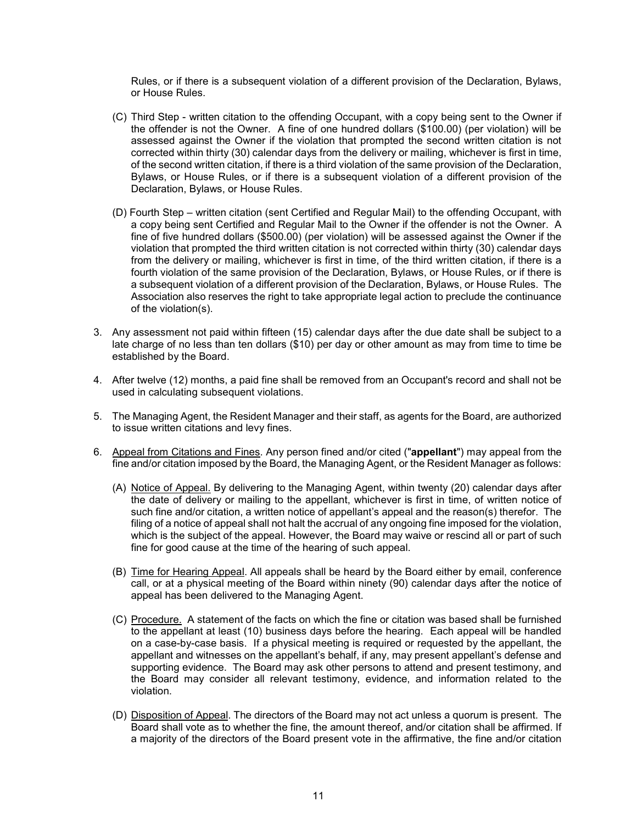Rules, or if there is a subsequent violation of a different provision of the Declaration, Bylaws, or House Rules.

- (C) Third Step written citation to the offending Occupant, with a copy being sent to the Owner if the offender is not the Owner. A fine of one hundred dollars (\$100.00) (per violation) will be assessed against the Owner if the violation that prompted the second written citation is not corrected within thirty (30) calendar days from the delivery or mailing, whichever is first in time, of the second written citation, if there is a third violation of the same provision of the Declaration, Bylaws, or House Rules, or if there is a subsequent violation of a different provision of the Declaration, Bylaws, or House Rules.
- (D) Fourth Step written citation (sent Certified and Regular Mail) to the offending Occupant, with a copy being sent Certified and Regular Mail to the Owner if the offender is not the Owner. A fine of five hundred dollars (\$500.00) (per violation) will be assessed against the Owner if the violation that prompted the third written citation is not corrected within thirty (30) calendar days from the delivery or mailing, whichever is first in time, of the third written citation, if there is a fourth violation of the same provision of the Declaration, Bylaws, or House Rules, or if there is a subsequent violation of a different provision of the Declaration, Bylaws, or House Rules. The Association also reserves the right to take appropriate legal action to preclude the continuance of the violation(s).
- 3. Any assessment not paid within fifteen (15) calendar days after the due date shall be subject to a late charge of no less than ten dollars (\$10) per day or other amount as may from time to time be established by the Board.
- 4. After twelve (12) months, a paid fine shall be removed from an Occupant's record and shall not be used in calculating subsequent violations.
- 5. The Managing Agent, the Resident Manager and their staff, as agents for the Board, are authorized to issue written citations and levy fines.
- 6. Appeal from Citations and Fines. Any person fined and/or cited ("**appellant**") may appeal from the fine and/or citation imposed by the Board, the Managing Agent, or the Resident Manager as follows:
	- (A) Notice of Appeal. By delivering to the Managing Agent, within twenty (20) calendar days after the date of delivery or mailing to the appellant, whichever is first in time, of written notice of such fine and/or citation, a written notice of appellant's appeal and the reason(s) therefor. The filing of a notice of appeal shall not halt the accrual of any ongoing fine imposed for the violation, which is the subject of the appeal. However, the Board may waive or rescind all or part of such fine for good cause at the time of the hearing of such appeal.
	- (B) Time for Hearing Appeal. All appeals shall be heard by the Board either by email, conference call, or at a physical meeting of the Board within ninety (90) calendar days after the notice of appeal has been delivered to the Managing Agent.
	- (C) Procedure. A statement of the facts on which the fine or citation was based shall be furnished to the appellant at least (10) business days before the hearing. Each appeal will be handled on a case-by-case basis. If a physical meeting is required or requested by the appellant, the appellant and witnesses on the appellant's behalf, if any, may present appellant's defense and supporting evidence. The Board may ask other persons to attend and present testimony, and the Board may consider all relevant testimony, evidence, and information related to the violation.
	- (D) Disposition of Appeal. The directors of the Board may not act unless a quorum is present. The Board shall vote as to whether the fine, the amount thereof, and/or citation shall be affirmed. If a majority of the directors of the Board present vote in the affirmative, the fine and/or citation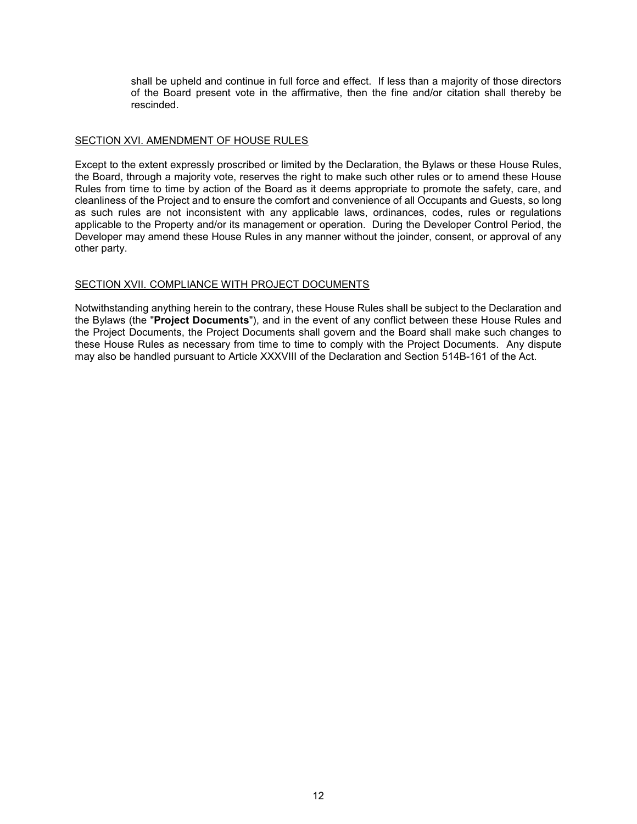shall be upheld and continue in full force and effect. If less than a majority of those directors of the Board present vote in the affirmative, then the fine and/or citation shall thereby be rescinded.

## SECTION XVI. AMENDMENT OF HOUSE RULES

Except to the extent expressly proscribed or limited by the Declaration, the Bylaws or these House Rules, the Board, through a majority vote, reserves the right to make such other rules or to amend these House Rules from time to time by action of the Board as it deems appropriate to promote the safety, care, and cleanliness of the Project and to ensure the comfort and convenience of all Occupants and Guests, so long as such rules are not inconsistent with any applicable laws, ordinances, codes, rules or regulations applicable to the Property and/or its management or operation. During the Developer Control Period, the Developer may amend these House Rules in any manner without the joinder, consent, or approval of any other party.

## SECTION XVII. COMPLIANCE WITH PROJECT DOCUMENTS

Notwithstanding anything herein to the contrary, these House Rules shall be subject to the Declaration and the Bylaws (the "**Project Documents**"), and in the event of any conflict between these House Rules and the Project Documents, the Project Documents shall govern and the Board shall make such changes to these House Rules as necessary from time to time to comply with the Project Documents. Any dispute may also be handled pursuant to Article XXXVIII of the Declaration and Section 514B-161 of the Act.